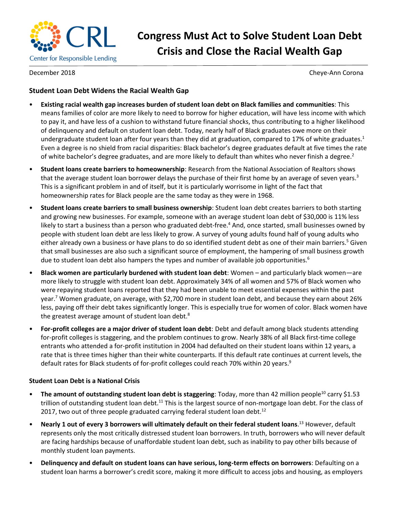

# **Congress Must Act to Solve Student Loan Debt Crisis and Close the Racial Wealth Gap**

December 2018 Cheye-Ann Corona

## **Student Loan Debt Widens the Racial Wealth Gap**

- **Existing racial wealth gap increases burden of student loan debt on Black families and communities**: This means families of color are more likely to need to borrow for higher education, will have less income with which to pay it, and have less of a cushion to withstand future financial shocks, thus contributing to a higher likelihood of delinquency and default on student loan debt. Today, nearly half of Black graduates owe more on their undergraduate student loan after four years than they did at graduation, compared to 17% of white graduates. $1$ Even a degree is no shield from racial disparities: Black bachelor's degree graduates default at five times the rate of white bachelor's degree graduates, and are more likely to default than whites who never finish a degree.<sup>2</sup>
- **Student loans create barriers to homeownership**: Research from the National Association of Realtors shows that the average student loan borrower delays the purchase of their first home by an average of seven years.<sup>3</sup> This is a significant problem in and of itself, but it is particularly worrisome in light of the fact that homeownership rates for Black people are the same today as they were in 1968.
- **Student loans create barriers to small business ownership**: Student loan debt creates barriers to both starting and growing new businesses. For example, someone with an average student loan debt of \$30,000 is 11% less likely to start a business than a person who graduated debt-free.<sup>4</sup> And, once started, small businesses owned by people with student loan debt are less likely to grow. A survey of young adults found half of young adults who either already own a business or have plans to do so identified student debt as one of their main barriers.<sup>5</sup> Given that small businesses are also such a significant source of employment, the hampering of small business growth due to student loan debt also hampers the types and number of available job opportunities.<sup>6</sup>
- **Black women are particularly burdened with student loan debt**: Women and particularly black women—are more likely to struggle with student loan debt. Approximately 34% of all women and 57% of Black women who were repaying student loans reported that they had been unable to meet essential expenses within the past year.<sup>7</sup> Women graduate, on average, with \$2,700 more in student loan debt, and because they earn about 26% less, paying off their debt takes significantly longer. This is especially true for women of color. Black women have the greatest average amount of student loan debt.<sup>8</sup>
- **For-profit colleges are a major driver of student loan debt**: Debt and default among black students attending for-profit colleges is staggering, and the problem continues to grow. Nearly 38% of all Black first-time college entrants who attended a for-profit institution in 2004 had defaulted on their student loans within 12 years, a rate that is three times higher than their white counterparts. If this default rate continues at current levels, the default rates for Black students of for-profit colleges could reach 70% within 20 years.<sup>9</sup>

### **Student Loan Debt is a National Crisis**

- The amount of outstanding student loan debt is staggering: Today, more than 42 million people<sup>10</sup> carry \$1.53 trillion of outstanding student loan debt.<sup>11</sup> This is the largest source of non-mortgage loan debt. For the class of 2017, two out of three people graduated carrying federal student loan debt.<sup>12</sup>
- **Nearly 1 out of every 3 borrowers will ultimately default on their federal student loans**. <sup>13</sup> However, default represents only the most critically distressed student loan borrowers. In truth, borrowers who will never default are facing hardships because of unaffordable student loan debt, such as inability to pay other bills because of monthly student loan payments.
- **Delinquency and default on student loans can have serious, long-term effects on borrowers**: Defaulting on a student loan harms a borrower's credit score, making it more difficult to access jobs and housing, as employers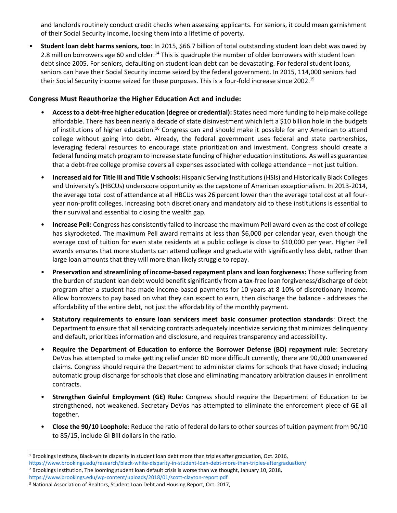and landlords routinely conduct credit checks when assessing applicants. For seniors, it could mean garnishment of their Social Security income, locking them into a lifetime of poverty.

• **Student loan debt harms seniors, too**: In 2015, \$66.7 billion of total outstanding student loan debt was owed by 2.8 million borrowers age 60 and older.<sup>14</sup> This is quadruple the number of older borrowers with student loan debt since 2005. For seniors, defaulting on student loan debt can be devastating. For federal student loans, seniors can have their Social Security income seized by the federal government. In 2015, 114,000 seniors had their Social Security income seized for these purposes. This is a four-fold increase since 2002.<sup>15</sup>

#### **Congress Must Reauthorize the Higher Education Act and include:**

- **Access to a debt-free higher education (degree or credential):** States need more funding to help make college affordable. There has been nearly a decade of state disinvestment which left a \$10 billion hole in the budgets of institutions of higher education.<sup>16</sup> Congress can and should make it possible for any American to attend college without going into debt. Already, the federal government uses federal and state partnerships, leveraging federal resources to encourage state prioritization and investment. Congress should create a federal funding match program to increase state funding of higher education institutions. As well as guarantee that a debt-free college promise covers all expenses associated with college attendance – not just tuition.
- **Increased aid for Title III and Title V schools:** Hispanic Serving Institutions(HSIs) and Historically Black Colleges and University's (HBCUs) underscore opportunity as the capstone of American exceptionalism. In 2013-2014, the average total cost of attendance at all HBCUs was 26 percent lower than the average total cost at all fouryear non-profit colleges. Increasing both discretionary and mandatory aid to these institutions is essential to their survival and essential to closing the wealth gap.
- **Increase Pell:** Congress has consistently failed to increase the maximum Pell award even as the cost of college has skyrocketed. The maximum Pell award remains at less than \$6,000 per calendar year, even though the average cost of tuition for even state residents at a public college is close to \$10,000 per year. Higher Pell awards ensures that more students can attend college and graduate with significantly less debt, rather than large loan amounts that they will more than likely struggle to repay.
- **Preservation and streamlining of income-based repayment plans and loan forgiveness:** Those suffering from the burden of student loan debt would benefit significantly from a tax-free loan forgiveness/discharge of debt program after a student has made income-based payments for 10 years at 8-10% of discretionary income. Allow borrowers to pay based on what they can expect to earn, then discharge the balance - addresses the affordability of the entire debt, not just the affordability of the monthly payment.
- **Statutory requirements to ensure loan servicers meet basic consumer protection standards**: Direct the Department to ensure that all servicing contracts adequately incentivize servicing that minimizes delinquency and default, prioritizes information and disclosure, and requires transparency and accessibility.
- **Require the Department of Education to enforce the Borrower Defense (BD) repayment rule**: Secretary DeVos has attempted to make getting relief under BD more difficult currently, there are 90,000 unanswered claims. Congress should require the Department to administer claims for schools that have closed; including automatic group discharge for schools that close and eliminating mandatory arbitration clauses in enrollment contracts.
- **Strengthen Gainful Employment (GE) Rule:** Congress should require the Department of Education to be strengthened, not weakened. Secretary DeVos has attempted to eliminate the enforcement piece of GE all together.
- **Close the 90/10 Loophole**: Reduce the ratio of federal dollars to other sources of tuition payment from 90/10 to 85/15, include GI Bill dollars in the ratio.

 $\overline{\phantom{a}}$ 

<sup>1</sup> Brookings Institute, Black-white disparity in student loan debt more than triples after graduation, Oct. 2016, https://www.brookings.edu/research/black-white-disparity-in-student-loan-debt-more-than-triples-aftergraduation/ <sup>2</sup> Brookings Institution, The looming student loan default crisis is worse than we thought, January 10, 2018, https://www.brookings.edu/wp-content/uploads/2018/01/scott-clayton-report.pdf

<sup>&</sup>lt;sup>3</sup> National Association of Realtors, Student Loan Debt and Housing Report, Oct. 2017,